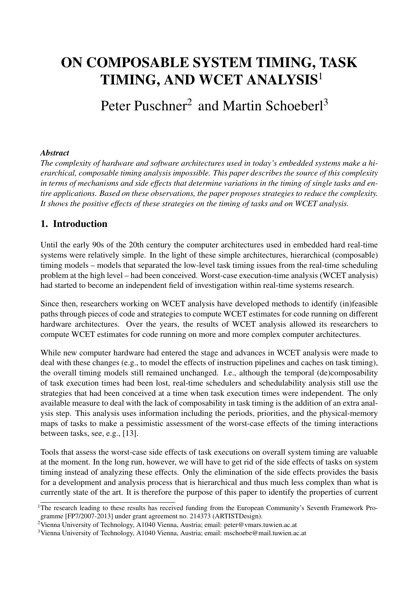# ON COMPOSABLE SYSTEM TIMING, TASK TIMING, AND WCET ANALYSIS<sup>1</sup>

Peter Puschner<sup>2</sup> and Martin Schoeberl<sup>3</sup>

#### *Abstract*

*The complexity of hardware and software architectures used in today's embedded systems make a hierarchical, composable timing analysis impossible. This paper describes the source of this complexity in terms of mechanisms and side effects that determine variations in the timing of single tasks and entire applications. Based on these observations, the paper proposes strategies to reduce the complexity. It shows the positive effects of these strategies on the timing of tasks and on WCET analysis.*

#### 1. Introduction

Until the early 90s of the 20th century the computer architectures used in embedded hard real-time systems were relatively simple. In the light of these simple architectures, hierarchical (composable) timing models – models that separated the low-level task timing issues from the real-time scheduling problem at the high level – had been conceived. Worst-case execution-time analysis (WCET analysis) had started to become an independent field of investigation within real-time systems research.

Since then, researchers working on WCET analysis have developed methods to identify (in)feasible paths through pieces of code and strategies to compute WCET estimates for code running on different hardware architectures. Over the years, the results of WCET analysis allowed its researchers to compute WCET estimates for code running on more and more complex computer architectures.

While new computer hardware had entered the stage and advances in WCET analysis were made to deal with these changes (e.g., to model the effects of instruction pipelines and caches on task timing), the overall timing models still remained unchanged. I.e., although the temporal (de)composability of task execution times had been lost, real-time schedulers and schedulability analysis still use the strategies that had been conceived at a time when task execution times were independent. The only available measure to deal with the lack of composability in task timing is the addition of an extra analysis step. This analysis uses information including the periods, priorities, and the physical-memory maps of tasks to make a pessimistic assessment of the worst-case effects of the timing interactions between tasks, see, e.g., [13].

Tools that assess the worst-case side effects of task executions on overall system timing are valuable at the moment. In the long run, however, we will have to get rid of the side effects of tasks on system timing instead of analyzing these effects. Only the elimination of the side effects provides the basis for a development and analysis process that is hierarchical and thus much less complex than what is currently state of the art. It is therefore the purpose of this paper to identify the properties of current

<sup>&</sup>lt;sup>1</sup>The research leading to these results has received funding from the European Community's Seventh Framework Programme [FP7/2007-2013] under grant agreement no. 214373 (ARTISTDesign).

<sup>&</sup>lt;sup>2</sup>Vienna University of Technology, A1040 Vienna, Austria; email: peter@vmars.tuwien.ac.at

<sup>3</sup>Vienna University of Technology, A1040 Vienna, Austria; email: mschoebe@mail.tuwien.ac.at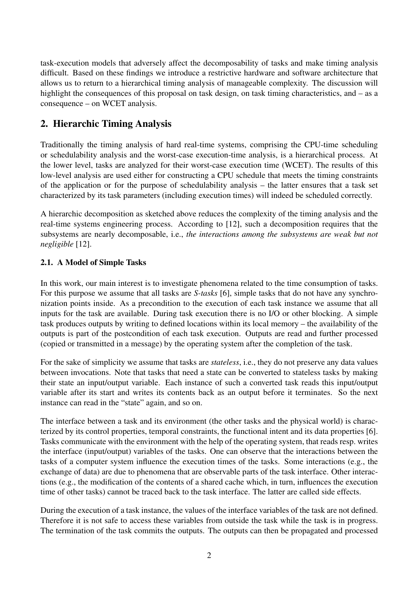task-execution models that adversely affect the decomposability of tasks and make timing analysis difficult. Based on these findings we introduce a restrictive hardware and software architecture that allows us to return to a hierarchical timing analysis of manageable complexity. The discussion will highlight the consequences of this proposal on task design, on task timing characteristics, and – as a consequence – on WCET analysis.

# 2. Hierarchic Timing Analysis

Traditionally the timing analysis of hard real-time systems, comprising the CPU-time scheduling or schedulability analysis and the worst-case execution-time analysis, is a hierarchical process. At the lower level, tasks are analyzed for their worst-case execution time (WCET). The results of this low-level analysis are used either for constructing a CPU schedule that meets the timing constraints of the application or for the purpose of schedulability analysis – the latter ensures that a task set characterized by its task parameters (including execution times) will indeed be scheduled correctly.

A hierarchic decomposition as sketched above reduces the complexity of the timing analysis and the real-time systems engineering process. According to [12], such a decomposition requires that the subsystems are nearly decomposable, i.e., *the interactions among the subsystems are weak but not negligible* [12].

# 2.1. A Model of Simple Tasks

In this work, our main interest is to investigate phenomena related to the time consumption of tasks. For this purpose we assume that all tasks are *S-tasks* [6], simple tasks that do not have any synchronization points inside. As a precondition to the execution of each task instance we assume that all inputs for the task are available. During task execution there is no I/O or other blocking. A simple task produces outputs by writing to defined locations within its local memory – the availability of the outputs is part of the postcondition of each task execution. Outputs are read and further processed (copied or transmitted in a message) by the operating system after the completion of the task.

For the sake of simplicity we assume that tasks are *stateless*, i.e., they do not preserve any data values between invocations. Note that tasks that need a state can be converted to stateless tasks by making their state an input/output variable. Each instance of such a converted task reads this input/output variable after its start and writes its contents back as an output before it terminates. So the next instance can read in the "state" again, and so on.

The interface between a task and its environment (the other tasks and the physical world) is characterized by its control properties, temporal constraints, the functional intent and its data properties [6]. Tasks communicate with the environment with the help of the operating system, that reads resp. writes the interface (input/output) variables of the tasks. One can observe that the interactions between the tasks of a computer system influence the execution times of the tasks. Some interactions (e.g., the exchange of data) are due to phenomena that are observable parts of the task interface. Other interactions (e.g., the modification of the contents of a shared cache which, in turn, influences the execution time of other tasks) cannot be traced back to the task interface. The latter are called side effects.

During the execution of a task instance, the values of the interface variables of the task are not defined. Therefore it is not safe to access these variables from outside the task while the task is in progress. The termination of the task commits the outputs. The outputs can then be propagated and processed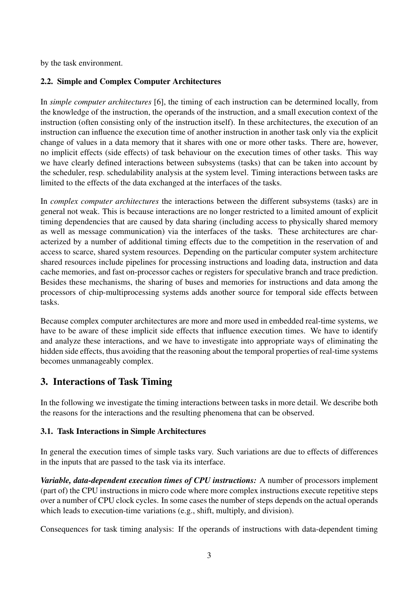by the task environment.

## 2.2. Simple and Complex Computer Architectures

In *simple computer architectures* [6], the timing of each instruction can be determined locally, from the knowledge of the instruction, the operands of the instruction, and a small execution context of the instruction (often consisting only of the instruction itself). In these architectures, the execution of an instruction can influence the execution time of another instruction in another task only via the explicit change of values in a data memory that it shares with one or more other tasks. There are, however, no implicit effects (side effects) of task behaviour on the execution times of other tasks. This way we have clearly defined interactions between subsystems (tasks) that can be taken into account by the scheduler, resp. schedulability analysis at the system level. Timing interactions between tasks are limited to the effects of the data exchanged at the interfaces of the tasks.

In *complex computer architectures* the interactions between the different subsystems (tasks) are in general not weak. This is because interactions are no longer restricted to a limited amount of explicit timing dependencies that are caused by data sharing (including access to physically shared memory as well as message communication) via the interfaces of the tasks. These architectures are characterized by a number of additional timing effects due to the competition in the reservation of and access to scarce, shared system resources. Depending on the particular computer system architecture shared resources include pipelines for processing instructions and loading data, instruction and data cache memories, and fast on-processor caches or registers for speculative branch and trace prediction. Besides these mechanisms, the sharing of buses and memories for instructions and data among the processors of chip-multiprocessing systems adds another source for temporal side effects between tasks.

Because complex computer architectures are more and more used in embedded real-time systems, we have to be aware of these implicit side effects that influence execution times. We have to identify and analyze these interactions, and we have to investigate into appropriate ways of eliminating the hidden side effects, thus avoiding that the reasoning about the temporal properties of real-time systems becomes unmanageably complex.

# 3. Interactions of Task Timing

In the following we investigate the timing interactions between tasks in more detail. We describe both the reasons for the interactions and the resulting phenomena that can be observed.

# 3.1. Task Interactions in Simple Architectures

In general the execution times of simple tasks vary. Such variations are due to effects of differences in the inputs that are passed to the task via its interface.

*Variable, data-dependent execution times of CPU instructions:* A number of processors implement (part of) the CPU instructions in micro code where more complex instructions execute repetitive steps over a number of CPU clock cycles. In some cases the number of steps depends on the actual operands which leads to execution-time variations (e.g., shift, multiply, and division).

Consequences for task timing analysis: If the operands of instructions with data-dependent timing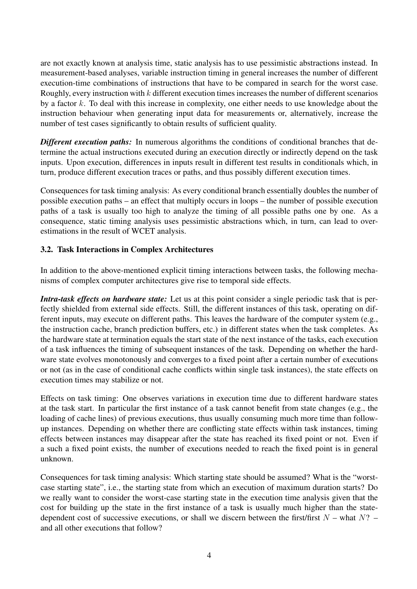are not exactly known at analysis time, static analysis has to use pessimistic abstractions instead. In measurement-based analyses, variable instruction timing in general increases the number of different execution-time combinations of instructions that have to be compared in search for the worst case. Roughly, every instruction with k different execution times increases the number of different scenarios by a factor  $k$ . To deal with this increase in complexity, one either needs to use knowledge about the instruction behaviour when generating input data for measurements or, alternatively, increase the number of test cases significantly to obtain results of sufficient quality.

**Different execution paths:** In numerous algorithms the conditions of conditional branches that determine the actual instructions executed during an execution directly or indirectly depend on the task inputs. Upon execution, differences in inputs result in different test results in conditionals which, in turn, produce different execution traces or paths, and thus possibly different execution times.

Consequences for task timing analysis: As every conditional branch essentially doubles the number of possible execution paths – an effect that multiply occurs in loops – the number of possible execution paths of a task is usually too high to analyze the timing of all possible paths one by one. As a consequence, static timing analysis uses pessimistic abstractions which, in turn, can lead to overestimations in the result of WCET analysis.

## 3.2. Task Interactions in Complex Architectures

In addition to the above-mentioned explicit timing interactions between tasks, the following mechanisms of complex computer architectures give rise to temporal side effects.

*Intra-task effects on hardware state:* Let us at this point consider a single periodic task that is perfectly shielded from external side effects. Still, the different instances of this task, operating on different inputs, may execute on different paths. This leaves the hardware of the computer system (e.g., the instruction cache, branch prediction buffers, etc.) in different states when the task completes. As the hardware state at termination equals the start state of the next instance of the tasks, each execution of a task influences the timing of subsequent instances of the task. Depending on whether the hardware state evolves monotonously and converges to a fixed point after a certain number of executions or not (as in the case of conditional cache conflicts within single task instances), the state effects on execution times may stabilize or not.

Effects on task timing: One observes variations in execution time due to different hardware states at the task start. In particular the first instance of a task cannot benefit from state changes (e.g., the loading of cache lines) of previous executions, thus usually consuming much more time than followup instances. Depending on whether there are conflicting state effects within task instances, timing effects between instances may disappear after the state has reached its fixed point or not. Even if a such a fixed point exists, the number of executions needed to reach the fixed point is in general unknown.

Consequences for task timing analysis: Which starting state should be assumed? What is the "worstcase starting state", i.e., the starting state from which an execution of maximum duration starts? Do we really want to consider the worst-case starting state in the execution time analysis given that the cost for building up the state in the first instance of a task is usually much higher than the statedependent cost of successive executions, or shall we discern between the first/first  $N$  – what  $N$ ? – and all other executions that follow?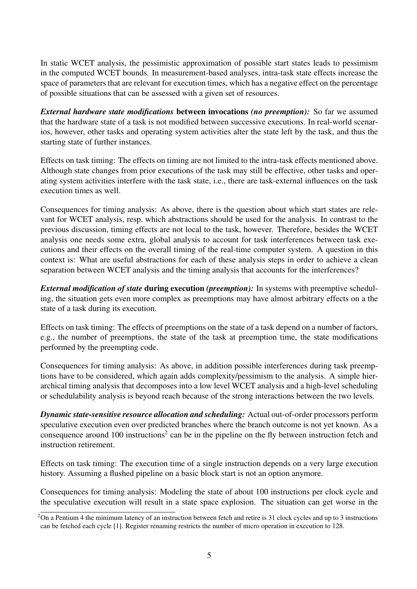In static WCET analysis, the pessimistic approximation of possible start states leads to pessimism in the computed WCET bounds. In measurement-based analyses, intra-task state effects increase the space of parameters that are relevant for execution times, which has a negative effect on the percentage of possible situations that can be assessed with a given set of resources.

*External hardware state modifications* between invocations *(no preemption):* So far we assumed that the hardware state of a task is not modified between successive executions. In real-world scenarios, however, other tasks and operating system activities alter the state left by the task, and thus the starting state of further instances.

Effects on task timing: The effects on timing are not limited to the intra-task effects mentioned above. Although state changes from prior executions of the task may still be effective, other tasks and operating system activities interfere with the task state, i.e., there are task-external influences on the task execution times as well.

Consequences for timing analysis: As above, there is the question about which start states are relevant for WCET analysis, resp. which abstractions should be used for the analysis. In contrast to the previous discussion, timing effects are not local to the task, however. Therefore, besides the WCET analysis one needs some extra, global analysis to account for task interferences between task executions and their effects on the overall timing of the real-time computer system. A question in this context is: What are useful abstractions for each of these analysis steps in order to achieve a clean separation between WCET analysis and the timing analysis that accounts for the interferences?

*External modification of state* during execution *(preemption):* In systems with preemptive scheduling, the situation gets even more complex as preemptions may have almost arbitrary effects on a the state of a task during its execution.

Effects on task timing: The effects of preemptions on the state of a task depend on a number of factors, e.g., the number of preemptions, the state of the task at preemption time, the state modifications performed by the preempting code.

Consequences for timing analysis: As above, in addition possible interferences during task preemptions have to be considered, which again adds complexity/pessimism to the analysis. A simple hierarchical timing analysis that decomposes into a low level WCET analysis and a high-level scheduling or schedulability analysis is beyond reach because of the strong interactions between the two levels.

*Dynamic state-sensitive resource allocation and scheduling:* Actual out-of-order processors perform speculative execution even over predicted branches where the branch outcome is not yet known. As a consequence around 100 instructions<sup>2</sup> can be in the pipeline on the fly between instruction fetch and instruction retirement.

Effects on task timing: The execution time of a single instruction depends on a very large execution history. Assuming a flushed pipeline on a basic block start is not an option anymore.

Consequences for timing analysis: Modeling the state of about 100 instructions per clock cycle and the speculative execution will result in a state space explosion. The situation can get worse in the

 $2\overline{On}$  a Pentium 4 the minimum latency of an instruction between fetch and retire is 31 clock cycles and up to 3 instructions can be fetched each cycle [1]. Register renaming restricts the number of micro operation in execution to 128.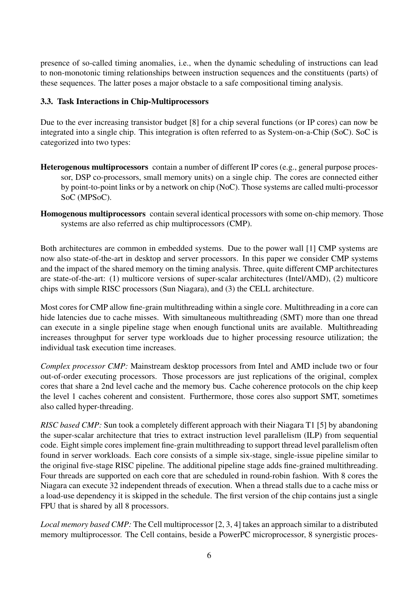presence of so-called timing anomalies, i.e., when the dynamic scheduling of instructions can lead to non-monotonic timing relationships between instruction sequences and the constituents (parts) of these sequences. The latter poses a major obstacle to a safe compositional timing analysis.

#### 3.3. Task Interactions in Chip-Multiprocessors

Due to the ever increasing transistor budget [8] for a chip several functions (or IP cores) can now be integrated into a single chip. This integration is often referred to as System-on-a-Chip (SoC). SoC is categorized into two types:

- Heterogenous multiprocessors contain a number of different IP cores (e.g., general purpose processor, DSP co-processors, small memory units) on a single chip. The cores are connected either by point-to-point links or by a network on chip (NoC). Those systems are called multi-processor SoC (MPSoC).
- Homogenous multiprocessors contain several identical processors with some on-chip memory. Those systems are also referred as chip multiprocessors (CMP).

Both architectures are common in embedded systems. Due to the power wall [1] CMP systems are now also state-of-the-art in desktop and server processors. In this paper we consider CMP systems and the impact of the shared memory on the timing analysis. Three, quite different CMP architectures are state-of-the-art: (1) multicore versions of super-scalar architectures (Intel/AMD), (2) multicore chips with simple RISC processors (Sun Niagara), and (3) the CELL architecture.

Most cores for CMP allow fine-grain multithreading within a single core. Multithreading in a core can hide latencies due to cache misses. With simultaneous multithreading (SMT) more than one thread can execute in a single pipeline stage when enough functional units are available. Multithreading increases throughput for server type workloads due to higher processing resource utilization; the individual task execution time increases.

*Complex processor CMP:* Mainstream desktop processors from Intel and AMD include two or four out-of-order executing processors. Those processors are just replications of the original, complex cores that share a 2nd level cache and the memory bus. Cache coherence protocols on the chip keep the level 1 caches coherent and consistent. Furthermore, those cores also support SMT, sometimes also called hyper-threading.

*RISC based CMP*: Sun took a completely different approach with their Niagara T1 [5] by abandoning the super-scalar architecture that tries to extract instruction level parallelism (ILP) from sequential code. Eight simple cores implement fine-grain multithreading to support thread level parallelism often found in server workloads. Each core consists of a simple six-stage, single-issue pipeline similar to the original five-stage RISC pipeline. The additional pipeline stage adds fine-grained multithreading. Four threads are supported on each core that are scheduled in round-robin fashion. With 8 cores the Niagara can execute 32 independent threads of execution. When a thread stalls due to a cache miss or a load-use dependency it is skipped in the schedule. The first version of the chip contains just a single FPU that is shared by all 8 processors.

*Local memory based CMP:* The Cell multiprocessor [2, 3, 4] takes an approach similar to a distributed memory multiprocessor. The Cell contains, beside a PowerPC microprocessor, 8 synergistic proces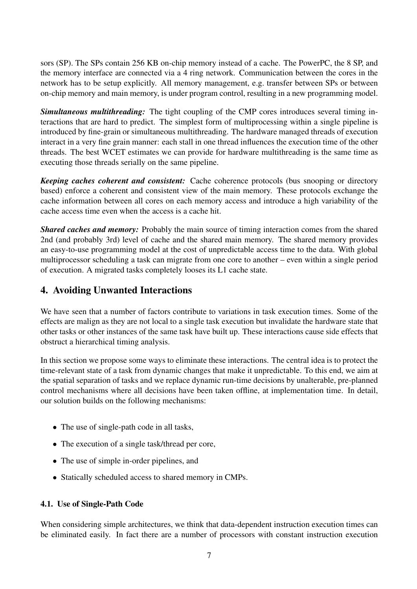sors (SP). The SPs contain 256 KB on-chip memory instead of a cache. The PowerPC, the 8 SP, and the memory interface are connected via a 4 ring network. Communication between the cores in the network has to be setup explicitly. All memory management, e.g. transfer between SPs or between on-chip memory and main memory, is under program control, resulting in a new programming model.

*Simultaneous multithreading:* The tight coupling of the CMP cores introduces several timing interactions that are hard to predict. The simplest form of multiprocessing within a single pipeline is introduced by fine-grain or simultaneous multithreading. The hardware managed threads of execution interact in a very fine grain manner: each stall in one thread influences the execution time of the other threads. The best WCET estimates we can provide for hardware multithreading is the same time as executing those threads serially on the same pipeline.

*Keeping caches coherent and consistent:* Cache coherence protocols (bus snooping or directory based) enforce a coherent and consistent view of the main memory. These protocols exchange the cache information between all cores on each memory access and introduce a high variability of the cache access time even when the access is a cache hit.

*Shared caches and memory:* Probably the main source of timing interaction comes from the shared 2nd (and probably 3rd) level of cache and the shared main memory. The shared memory provides an easy-to-use programming model at the cost of unpredictable access time to the data. With global multiprocessor scheduling a task can migrate from one core to another – even within a single period of execution. A migrated tasks completely looses its L1 cache state.

# 4. Avoiding Unwanted Interactions

We have seen that a number of factors contribute to variations in task execution times. Some of the effects are malign as they are not local to a single task execution but invalidate the hardware state that other tasks or other instances of the same task have built up. These interactions cause side effects that obstruct a hierarchical timing analysis.

In this section we propose some ways to eliminate these interactions. The central idea is to protect the time-relevant state of a task from dynamic changes that make it unpredictable. To this end, we aim at the spatial separation of tasks and we replace dynamic run-time decisions by unalterable, pre-planned control mechanisms where all decisions have been taken offline, at implementation time. In detail, our solution builds on the following mechanisms:

- The use of single-path code in all tasks,
- The execution of a single task/thread per core,
- The use of simple in-order pipelines, and
- Statically scheduled access to shared memory in CMPs.

#### 4.1. Use of Single-Path Code

When considering simple architectures, we think that data-dependent instruction execution times can be eliminated easily. In fact there are a number of processors with constant instruction execution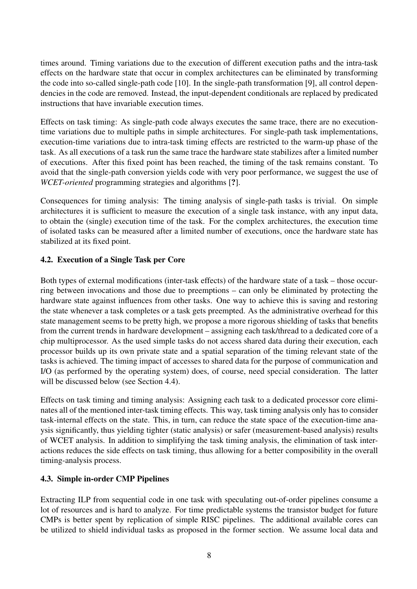times around. Timing variations due to the execution of different execution paths and the intra-task effects on the hardware state that occur in complex architectures can be eliminated by transforming the code into so-called single-path code [10]. In the single-path transformation [9], all control dependencies in the code are removed. Instead, the input-dependent conditionals are replaced by predicated instructions that have invariable execution times.

Effects on task timing: As single-path code always executes the same trace, there are no executiontime variations due to multiple paths in simple architectures. For single-path task implementations, execution-time variations due to intra-task timing effects are restricted to the warm-up phase of the task. As all executions of a task run the same trace the hardware state stabilizes after a limited number of executions. After this fixed point has been reached, the timing of the task remains constant. To avoid that the single-path conversion yields code with very poor performance, we suggest the use of *WCET-oriented* programming strategies and algorithms [?].

Consequences for timing analysis: The timing analysis of single-path tasks is trivial. On simple architectures it is sufficient to measure the execution of a single task instance, with any input data, to obtain the (single) execution time of the task. For the complex architectures, the execution time of isolated tasks can be measured after a limited number of executions, once the hardware state has stabilized at its fixed point.

## 4.2. Execution of a Single Task per Core

Both types of external modifications (inter-task effects) of the hardware state of a task – those occurring between invocations and those due to preemptions – can only be eliminated by protecting the hardware state against influences from other tasks. One way to achieve this is saving and restoring the state whenever a task completes or a task gets preempted. As the administrative overhead for this state management seems to be pretty high, we propose a more rigorous shielding of tasks that benefits from the current trends in hardware development – assigning each task/thread to a dedicated core of a chip multiprocessor. As the used simple tasks do not access shared data during their execution, each processor builds up its own private state and a spatial separation of the timing relevant state of the tasks is achieved. The timing impact of accesses to shared data for the purpose of communication and I/O (as performed by the operating system) does, of course, need special consideration. The latter will be discussed below (see Section 4.4).

Effects on task timing and timing analysis: Assigning each task to a dedicated processor core eliminates all of the mentioned inter-task timing effects. This way, task timing analysis only has to consider task-internal effects on the state. This, in turn, can reduce the state space of the execution-time anaysis significantly, thus yielding tighter (static analysis) or safer (measurement-based analysis) results of WCET analysis. In addition to simplifying the task timing analysis, the elimination of task interactions reduces the side effects on task timing, thus allowing for a better composibility in the overall timing-analysis process.

#### 4.3. Simple in-order CMP Pipelines

Extracting ILP from sequential code in one task with speculating out-of-order pipelines consume a lot of resources and is hard to analyze. For time predictable systems the transistor budget for future CMPs is better spent by replication of simple RISC pipelines. The additional available cores can be utilized to shield individual tasks as proposed in the former section. We assume local data and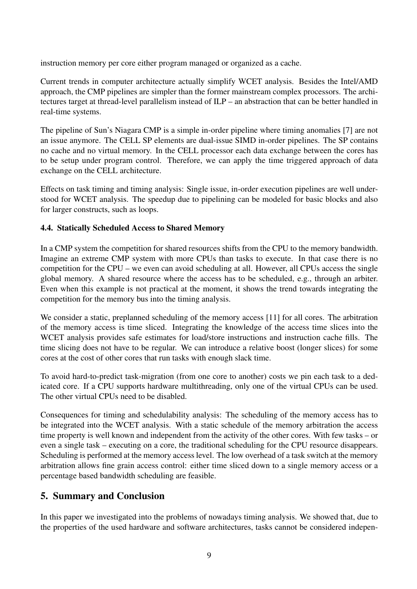instruction memory per core either program managed or organized as a cache.

Current trends in computer architecture actually simplify WCET analysis. Besides the Intel/AMD approach, the CMP pipelines are simpler than the former mainstream complex processors. The architectures target at thread-level parallelism instead of ILP – an abstraction that can be better handled in real-time systems.

The pipeline of Sun's Niagara CMP is a simple in-order pipeline where timing anomalies [7] are not an issue anymore. The CELL SP elements are dual-issue SIMD in-order pipelines. The SP contains no cache and no virtual memory. In the CELL processor each data exchange between the cores has to be setup under program control. Therefore, we can apply the time triggered approach of data exchange on the CELL architecture.

Effects on task timing and timing analysis: Single issue, in-order execution pipelines are well understood for WCET analysis. The speedup due to pipelining can be modeled for basic blocks and also for larger constructs, such as loops.

#### 4.4. Statically Scheduled Access to Shared Memory

In a CMP system the competition for shared resources shifts from the CPU to the memory bandwidth. Imagine an extreme CMP system with more CPUs than tasks to execute. In that case there is no competition for the CPU – we even can avoid scheduling at all. However, all CPUs access the single global memory. A shared resource where the access has to be scheduled, e.g., through an arbiter. Even when this example is not practical at the moment, it shows the trend towards integrating the competition for the memory bus into the timing analysis.

We consider a static, preplanned scheduling of the memory access [11] for all cores. The arbitration of the memory access is time sliced. Integrating the knowledge of the access time slices into the WCET analysis provides safe estimates for load/store instructions and instruction cache fills. The time slicing does not have to be regular. We can introduce a relative boost (longer slices) for some cores at the cost of other cores that run tasks with enough slack time.

To avoid hard-to-predict task-migration (from one core to another) costs we pin each task to a dedicated core. If a CPU supports hardware multithreading, only one of the virtual CPUs can be used. The other virtual CPUs need to be disabled.

Consequences for timing and schedulability analysis: The scheduling of the memory access has to be integrated into the WCET analysis. With a static schedule of the memory arbitration the access time property is well known and independent from the activity of the other cores. With few tasks – or even a single task – executing on a core, the traditional scheduling for the CPU resource disappears. Scheduling is performed at the memory access level. The low overhead of a task switch at the memory arbitration allows fine grain access control: either time sliced down to a single memory access or a percentage based bandwidth scheduling are feasible.

# 5. Summary and Conclusion

In this paper we investigated into the problems of nowadays timing analysis. We showed that, due to the properties of the used hardware and software architectures, tasks cannot be considered indepen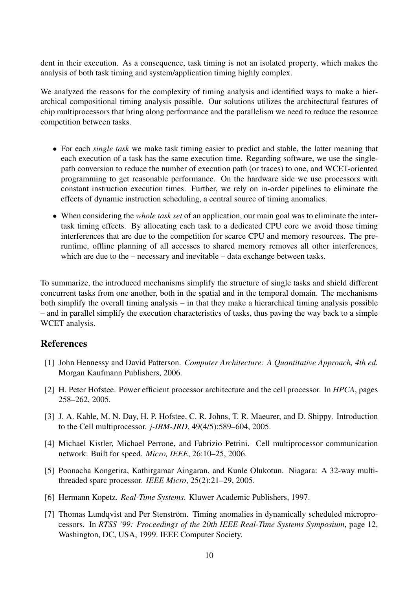dent in their execution. As a consequence, task timing is not an isolated property, which makes the analysis of both task timing and system/application timing highly complex.

We analyzed the reasons for the complexity of timing analysis and identified ways to make a hierarchical compositional timing analysis possible. Our solutions utilizes the architectural features of chip multiprocessors that bring along performance and the parallelism we need to reduce the resource competition between tasks.

- For each *single task* we make task timing easier to predict and stable, the latter meaning that each execution of a task has the same execution time. Regarding software, we use the singlepath conversion to reduce the number of execution path (or traces) to one, and WCET-oriented programming to get reasonable performance. On the hardware side we use processors with constant instruction execution times. Further, we rely on in-order pipelines to eliminate the effects of dynamic instruction scheduling, a central source of timing anomalies.
- When considering the *whole task set* of an application, our main goal was to eliminate the intertask timing effects. By allocating each task to a dedicated CPU core we avoid those timing interferences that are due to the competition for scarce CPU and memory resources. The preruntime, offline planning of all accesses to shared memory removes all other interferences, which are due to the – necessary and inevitable – data exchange between tasks.

To summarize, the introduced mechanisms simplify the structure of single tasks and shield different concurrent tasks from one another, both in the spatial and in the temporal domain. The mechanisms both simplify the overall timing analysis – in that they make a hierarchical timing analysis possible – and in parallel simplify the execution characteristics of tasks, thus paving the way back to a simple WCET analysis.

# **References**

- [1] John Hennessy and David Patterson. *Computer Architecture: A Quantitative Approach, 4th ed.* Morgan Kaufmann Publishers, 2006.
- [2] H. Peter Hofstee. Power efficient processor architecture and the cell processor. In *HPCA*, pages 258–262, 2005.
- [3] J. A. Kahle, M. N. Day, H. P. Hofstee, C. R. Johns, T. R. Maeurer, and D. Shippy. Introduction to the Cell multiprocessor. *j-IBM-JRD*, 49(4/5):589–604, 2005.
- [4] Michael Kistler, Michael Perrone, and Fabrizio Petrini. Cell multiprocessor communication network: Built for speed. *Micro, IEEE*, 26:10–25, 2006.
- [5] Poonacha Kongetira, Kathirgamar Aingaran, and Kunle Olukotun. Niagara: A 32-way multithreaded sparc processor. *IEEE Micro*, 25(2):21–29, 2005.
- [6] Hermann Kopetz. *Real-Time Systems*. Kluwer Academic Publishers, 1997.
- [7] Thomas Lundqvist and Per Stenström. Timing anomalies in dynamically scheduled microprocessors. In *RTSS '99: Proceedings of the 20th IEEE Real-Time Systems Symposium*, page 12, Washington, DC, USA, 1999. IEEE Computer Society.